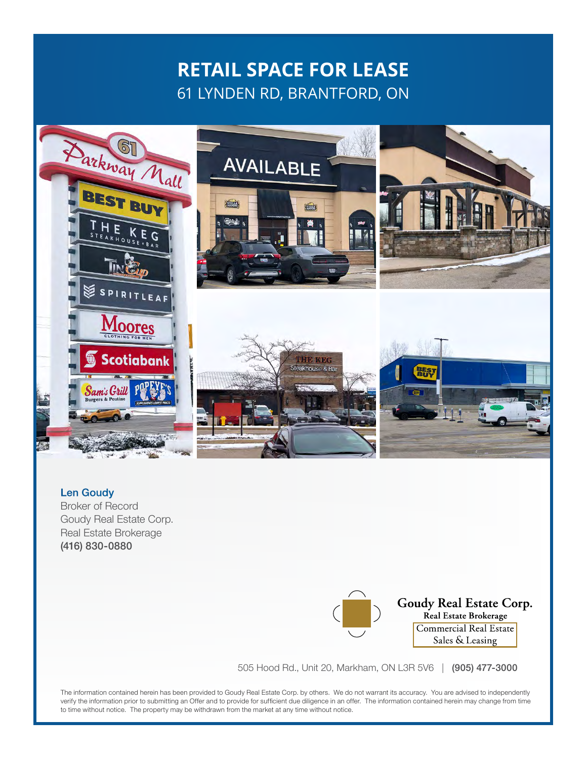# **RETAIL SPACE FOR LEASE** 61 LYNDEN RD, BRANTFORD, ON



#### Len Goudy Broker of Record Goudy Real Estate Corp. Real Estate Brokerage (416) 830-0880

Goudy Real Estate Corp. Real Estate Brokerage Commercial Real Estate Sales & Leasing

505 Hood Rd., Unit 20, Markham, ON L3R 5V6 | (905) 477-3000

The information contained herein has been provided to Goudy Real Estate Corp. by others. We do not warrant its accuracy. You are advised to independently verify the information prior to submitting an Offer and to provide for sufficient due diligence in an offer. The information contained herein may change from time to time without notice. The property may be withdrawn from the market at any time without notice.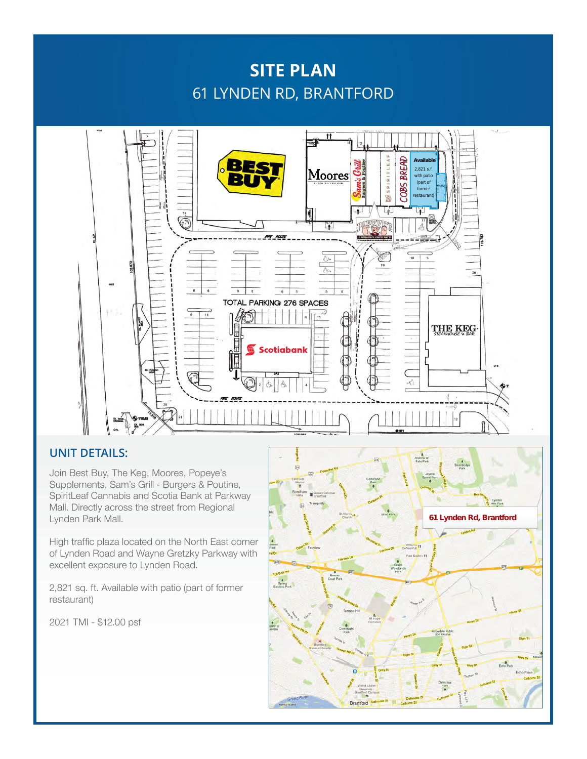### **SITE PLAN** 61 LYNDEN RD, BRANTFORD



### **UNIT DETAILS:**

Join Best Buy, The Keg, Moores, Popeye's Supplements, Sam's Grill - Burgers & Poutine, SpiritLeaf Cannabis and Scotia Bank at Parkway Mall. Directly across the street from Regional Lynden Park Mall.

High traffic plaza located on the North East corner of Lynden Road and Wayne Gretzky Parkway with excellent exposure to Lynden Road.

2,821 sq. ft. Available with patio (part of former restaurant)

2021 TMI - \$12.00 psf

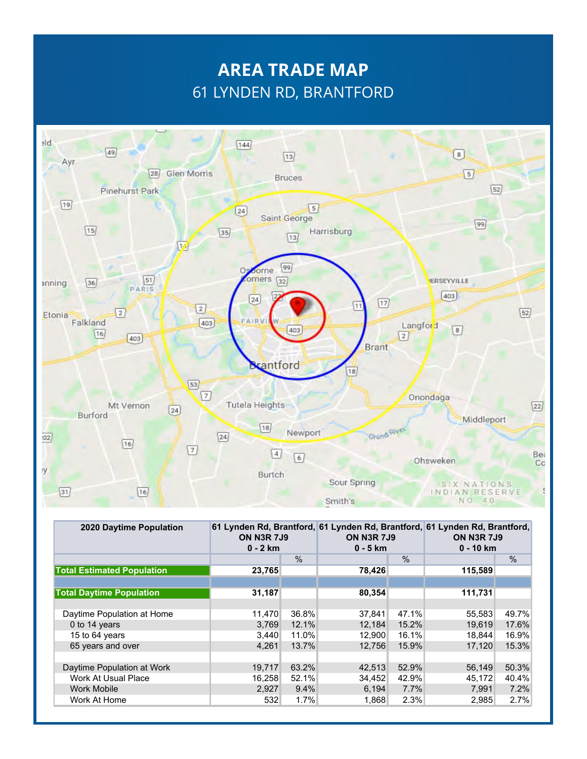# **AREA TRADE MAP** 61 LYNDEN RD, BRANTFORD



| 2020 Daytime Population           | <b>ON N3R 7J9</b><br>$0 - 2 km$ |       | <b>ON N3R 7J9</b><br>$0 - 5$ km |               | 61 Lynden Rd, Brantford, 61 Lynden Rd, Brantford, 61 Lynden Rd, Brantford,<br><b>ON N3R 7J9</b><br>$0 - 10$ km |               |
|-----------------------------------|---------------------------------|-------|---------------------------------|---------------|----------------------------------------------------------------------------------------------------------------|---------------|
|                                   |                                 | $\%$  |                                 | $\frac{0}{0}$ |                                                                                                                | $\frac{0}{0}$ |
| <b>Total Estimated Population</b> | 23,765                          |       | 78,426                          |               | 115,589                                                                                                        |               |
|                                   |                                 |       |                                 |               |                                                                                                                |               |
| <b>Total Daytime Population</b>   | 31,187                          |       | 80,354                          |               | 111,731                                                                                                        |               |
|                                   |                                 |       |                                 |               |                                                                                                                |               |
| Daytime Population at Home        | 11,470                          | 36.8% | 37.841                          | 47.1%         | 55,583                                                                                                         | 49.7%         |
| 0 to 14 years                     | 3.769                           | 12.1% | 12.184                          | 15.2%         | 19.619                                                                                                         | 17.6%         |
| 15 to 64 years                    | 3,440                           | 11.0% | 12,900                          | 16.1%         | 18.844                                                                                                         | 16.9%         |
| 65 years and over                 | 4,261                           | 13.7% | 12.756                          | 15.9%         | 17.120                                                                                                         | 15.3%         |
|                                   |                                 |       |                                 |               |                                                                                                                |               |
| Daytime Population at Work        | 19,717                          | 63.2% | 42,513                          | 52.9%         | 56,149                                                                                                         | 50.3%         |
| Work At Usual Place               | 16,258                          | 52.1% | 34,452                          | 42.9%         | 45,172                                                                                                         | 40.4%         |
| <b>Work Mobile</b>                | 2,927                           | 9.4%  | 6,194                           | 7.7%          | 7,991                                                                                                          | 7.2%          |
| Work At Home                      | 532                             | 1.7%  | 1,868                           | 2.3%          | 2,985                                                                                                          | 2.7%          |